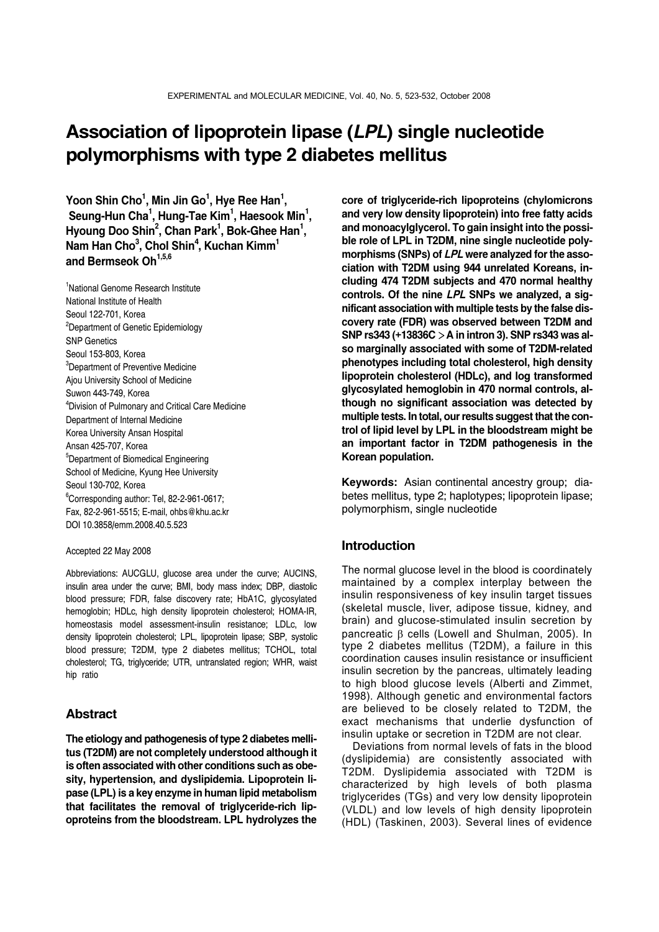# **Association of lipoprotein lipase (***LPL***) single nucleotide polymorphisms with type 2 diabetes mellitus**

**Yoon Shin Cho1 , Min Jin Go1 , Hye Ree Han1 ,** Seung-Hun Cha<sup>1</sup>, Hung-Tae Kim<sup>1</sup>, Haesook Min<sup>1</sup>, Hyoung Doo Shin<sup>2</sup>, Chan Park<sup>1</sup>, Bok-Ghee Han<sup>1</sup>, **Nam Han Cho3 , Chol Shin4 , Kuchan Kimm1** and Bermseok Oh<sup>1,5,6</sup>

<sup>1</sup>National Genome Research Institute National Institute of Health Seoul 122-701, Korea <sup>2</sup>Department of Genetic Epidemiology SNP Genetics Seoul 153-803, Korea <sup>3</sup>Department of Preventive Medicine Ajou University School of Medicine Suwon 443-749, Korea 4 Division of Pulmonary and Critical Care Medicine Department of Internal Medicine Korea University Ansan Hospital Ansan 425-707, Korea 5 Department of Biomedical Engineering School of Medicine, Kyung Hee University Seoul 130-702, Korea 6 Corresponding author: Tel, 82-2-961-0617; Fax, 82-2-961-5515; E-mail, ohbs@khu.ac.kr DOI 10.3858/emm.2008.40.5.523

#### Accepted 22 May 2008

Abbreviations: AUCGLU, glucose area under the curve; AUCINS, insulin area under the curve; BMI, body mass index; DBP, diastolic blood pressure; FDR, false discovery rate; HbA1C, glycosylated hemoglobin; HDLc, high density lipoprotein cholesterol; HOMA-IR, homeostasis model assessment-insulin resistance; LDLc, low density lipoprotein cholesterol; LPL, lipoprotein lipase; SBP, systolic blood pressure; T2DM, type 2 diabetes mellitus; TCHOL, total cholesterol; TG, triglyceride; UTR, untranslated region; WHR, waist hip ratio

#### **Abstract**

**The etiology and pathogenesis of type 2 diabetes mellitus (T2DM) are not completely understood although it is often associated with other conditions such as obesity, hypertension, and dyslipidemia. Lipoprotein lipase (LPL) is a key enzyme in human lipid metabolism that facilitates the removal of triglyceride-rich lipoproteins from the bloodstream. LPL hydrolyzes the** 

**core of triglyceride-rich lipoproteins (chylomicrons and very low density lipoprotein) into free fatty acids and monoacylglycerol. To gain insight into the possible role of LPL in T2DM, nine single nucleotide polymorphisms (SNPs) of** *LPL* **were analyzed for the association with T2DM using 944 unrelated Koreans, including 474 T2DM subjects and 470 normal healthy controls. Of the nine** *LPL* **SNPs we analyzed, a significant association with multiple tests by the false discovery rate (FDR) was observed between T2DM and SNP rs343 (+13836C**>**A in intron 3). SNP rs343 was also marginally associated with some of T2DM-related phenotypes including total cholesterol, high density lipoprotein cholesterol (HDLc), and log transformed glycosylated hemoglobin in 470 normal controls, although no significant association was detected by multiple tests. In total, our results suggest that the control of lipid level by LPL in the bloodstream might be an important factor in T2DM pathogenesis in the Korean population.**

**Keywords:** Asian continental ancestry group; diabetes mellitus, type 2; haplotypes; lipoprotein lipase; polymorphism, single nucleotide

## **Introduction**

The normal glucose level in the blood is coordinately maintained by a complex interplay between the insulin responsiveness of key insulin target tissues (skeletal muscle, liver, adipose tissue, kidney, and brain) and glucose-stimulated insulin secretion by pancreatic β cells (Lowell and Shulman, 2005). In type 2 diabetes mellitus (T2DM), a failure in this coordination causes insulin resistance or insufficient insulin secretion by the pancreas, ultimately leading to high blood glucose levels (Alberti and Zimmet, 1998). Although genetic and environmental factors are believed to be closely related to T2DM, the exact mechanisms that underlie dysfunction of insulin uptake or secretion in T2DM are not clear.

Deviations from normal levels of fats in the blood (dyslipidemia) are consistently associated with T2DM. Dyslipidemia associated with T2DM is characterized by high levels of both plasma triglycerides (TGs) and very low density lipoprotein (VLDL) and low levels of high density lipoprotein (HDL) (Taskinen, 2003). Several lines of evidence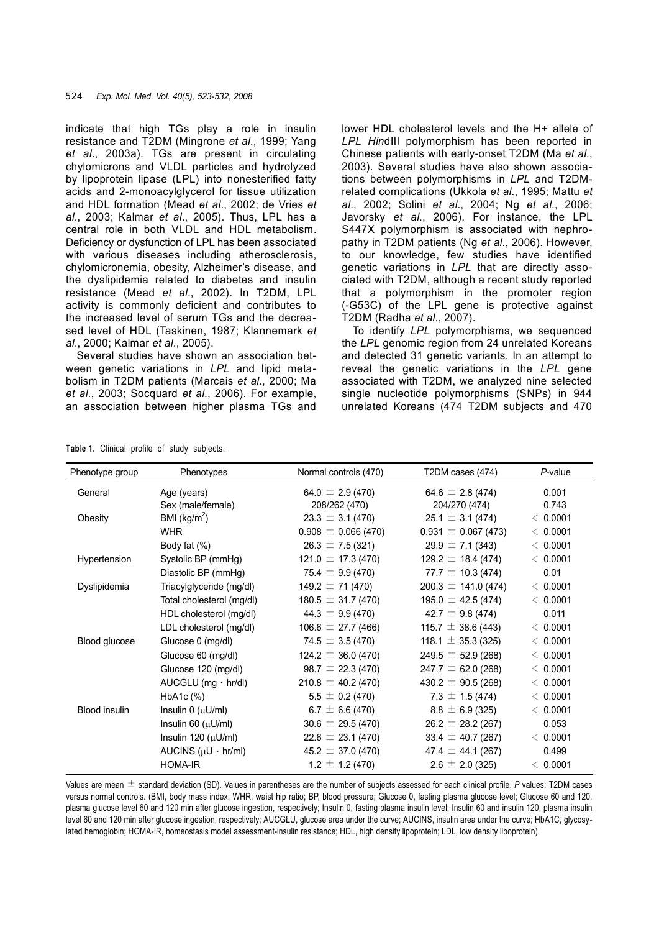indicate that high TGs play a role in insulin resistance and T2DM (Mingrone *et al*., 1999; Yang *et al*., 2003a). TGs are present in circulating chylomicrons and VLDL particles and hydrolyzed by lipoprotein lipase (LPL) into nonesterified fatty acids and 2-monoacylglycerol for tissue utilization and HDL formation (Mead *et al*., 2002; de Vries *et al*., 2003; Kalmar *et al*., 2005). Thus, LPL has a central role in both VLDL and HDL metabolism. Deficiency or dysfunction of LPL has been associated with various diseases including atherosclerosis, chylomicronemia, obesity, Alzheimer's disease, and the dyslipidemia related to diabetes and insulin resistance (Mead *et al*., 2002). In T2DM, LPL activity is commonly deficient and contributes to the increased level of serum TGs and the decreased level of HDL (Taskinen, 1987; Klannemark *et al*., 2000; Kalmar *et al*., 2005).

Several studies have shown an association between genetic variations in *LPL* and lipid metabolism in T2DM patients (Marcais *et al*., 2000; Ma *et al*., 2003; Socquard *et al*., 2006). For example, an association between higher plasma TGs and lower HDL cholesterol levels and the H+ allele of *LPL Hin*dIII polymorphism has been reported in Chinese patients with early-onset T2DM (Ma *et al*., 2003). Several studies have also shown associations between polymorphisms in *LPL* and T2DMrelated complications (Ukkola *et al*., 1995; Mattu *et al*., 2002; Solini *et al*., 2004; Ng *et al*., 2006; Javorsky *et al*., 2006). For instance, the LPL S447X polymorphism is associated with nephropathy in T2DM patients (Ng *et al*., 2006). However, to our knowledge, few studies have identified genetic variations in *LPL* that are directly associated with T2DM, although a recent study reported that a polymorphism in the promoter region (-G53C) of the LPL gene is protective against T2DM (Radha *et al*., 2007).

To identify *LPL* polymorphisms, we sequenced the *LPL* genomic region from 24 unrelated Koreans and detected 31 genetic variants. In an attempt to reveal the genetic variations in the *LPL* gene associated with T2DM, we analyzed nine selected single nucleotide polymorphisms (SNPs) in 944 unrelated Koreans (474 T2DM subjects and 470

| Phenotype group      | Phenotypes                   | Normal controls (470)   | T2DM cases (474)        | $P$ -value |
|----------------------|------------------------------|-------------------------|-------------------------|------------|
| General              | Age (years)                  | 64.0 $\pm$ 2.9 (470)    | 64.6 $\pm$ 2.8 (474)    | 0.001      |
|                      | Sex (male/female)            | 208/262 (470)           | 204/270 (474)           | 0.743      |
| Obesity              | BMI ( $\text{kg/m}^2$ )      | $23.3 \pm 3.1$ (470)    | $25.1 \pm 3.1 (474)$    | < 0.0001   |
|                      | <b>WHR</b>                   | $0.908 \pm 0.066$ (470) | $0.931 \pm 0.067$ (473) | < 0.0001   |
|                      | Body fat (%)                 | $26.3 \pm 7.5(321)$     | $29.9 \pm 7.1(343)$     | < 0.0001   |
| Hypertension         | Systolic BP (mmHg)           | 121.0 $\pm$ 17.3 (470)  | 129.2 $\pm$ 18.4 (474)  | < 0.0001   |
|                      | Diastolic BP (mmHg)          | 75.4 $\pm$ 9.9 (470)    | 77.7 $\pm$ 10.3 (474)   | 0.01       |
| Dyslipidemia         | Triacylglyceride (mg/dl)     | 149.2 $\pm$ 71 (470)    | $200.3 \pm 141.0$ (474) | < 0.0001   |
|                      | Total cholesterol (mg/dl)    | $180.5 \pm 31.7(470)$   | 195.0 $\pm$ 42.5 (474)  | < 0.0001   |
|                      | HDL cholesterol (mg/dl)      | 44.3 $\pm$ 9.9 (470)    | 42.7 $\pm$ 9.8 (474)    | 0.011      |
|                      | LDL cholesterol (mg/dl)      | 106.6 $\pm$ 27.7 (466)  | 115.7 $\pm$ 38.6 (443)  | < 0.0001   |
| Blood glucose        | Glucose 0 (mg/dl)            | 74.5 $\pm$ 3.5 (470)    | 118.1 $\pm$ 35.3 (325)  | < 0.0001   |
|                      | Glucose 60 (mg/dl)           | $124.2 \pm 36.0$ (470)  | 249.5 $\pm$ 52.9 (268)  | < 0.0001   |
|                      | Glucose 120 (mg/dl)          | 98.7 $\pm$ 22.3 (470)   | 247.7 $\pm$ 62.0 (268)  | < 0.0001   |
|                      | $AUCGLU$ (mg $\cdot$ hr/dl)  | 210.8 $\pm$ 40.2 (470)  | 430.2 $\pm$ 90.5 (268)  | < 0.0001   |
|                      | $HbA1c$ $%$                  | $5.5 \pm 0.2$ (470)     | 7.3 $\pm$ 1.5 (474)     | < 0.0001   |
| <b>Blood insulin</b> | Insulin $0 \, (\mu U/ml)$    | 6.7 $\pm$ 6.6 (470)     | $8.8 \pm 6.9$ (325)     | < 0.0001   |
|                      | Insulin 60 $(\mu U/ml)$      | $30.6 \pm 29.5$ (470)   | $26.2 \pm 28.2$ (267)   | 0.053      |
|                      | Insulin 120 $(\mu U/ml)$     | $22.6 \pm 23.1$ (470)   | 33.4 $\pm$ 40.7 (267)   | < 0.0001   |
|                      | AUCINS $(\mu U \cdot hr/ml)$ | $45.2 \pm 37.0$ (470)   | 47.4 $\pm$ 44.1 (267)   | 0.499      |
|                      | <b>HOMA-IR</b>               | $1.2 \pm 1.2$ (470)     | $2.6 \pm 2.0$ (325)     | < 0.0001   |

**Table 1.** Clinical profile of study subjects.

Values are mean ± standard deviation (SD). Values in parentheses are the number of subjects assessed for each clinical profile. *P* values: T2DM cases versus normal controls. (BMI, body mass index; WHR, waist hip ratio; BP, blood pressure; Glucose 0, fasting plasma glucose level; Glucose 60 and 120, plasma glucose level 60 and 120 min after glucose ingestion, respectively; Insulin 0, fasting plasma insulin level; Insulin 60 and insulin 120, plasma insulin level 60 and 120 min after glucose ingestion, respectively; AUCGLU, glucose area under the curve; AUCINS, insulin area under the curve; HbA1C, glycosylated hemoglobin; HOMA-IR, homeostasis model assessment-insulin resistance; HDL, high density lipoprotein; LDL, low density lipoprotein).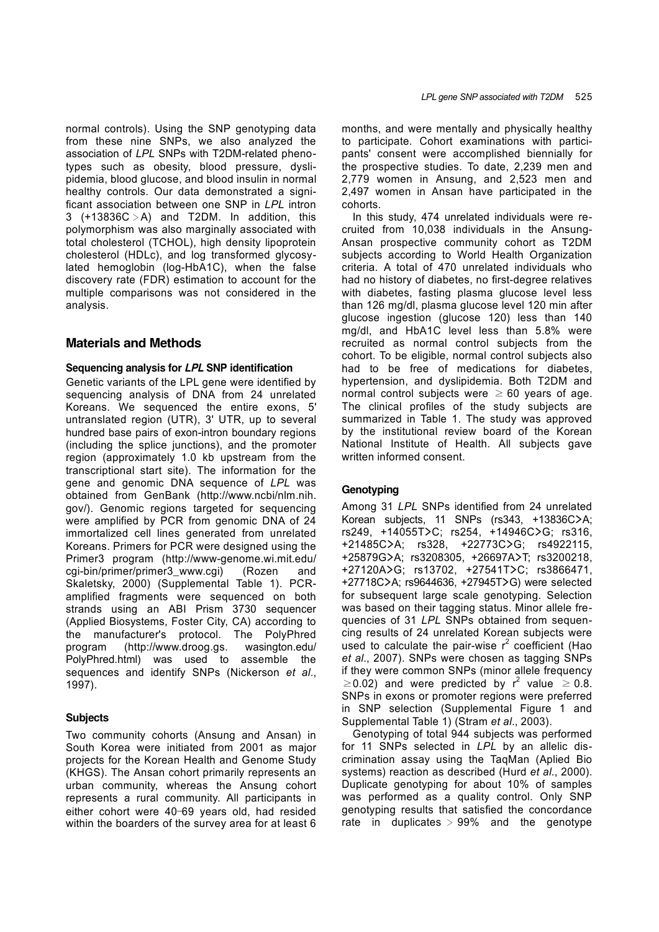normal controls). Using the SNP genotyping data from these nine SNPs, we also analyzed the association of *LPL* SNPs with T2DM-related phenotypes such as obesity, blood pressure, dyslipidemia, blood glucose, and blood insulin in normal healthy controls. Our data demonstrated a significant association between one SNP in *LPL* intron  $3$  (+13836C > A) and T2DM. In addition, this polymorphism was also marginally associated with total cholesterol (TCHOL), high density lipoprotein cholesterol (HDLc), and log transformed glycosylated hemoglobin (log-HbA1C), when the false discovery rate (FDR) estimation to account for the multiple comparisons was not considered in the analysis.

# **Materials and Methods**

#### **Sequencing analysis for** *LPL* **SNP identification**

Genetic variants of the LPL gene were identified by sequencing analysis of DNA from 24 unrelated Koreans. We sequenced the entire exons, 5' untranslated region (UTR), 3' UTR, up to several hundred base pairs of exon-intron boundary regions (including the splice junctions), and the promoter region (approximately 1.0 kb upstream from the transcriptional start site). The information for the gene and genomic DNA sequence of *LPL* was obtained from GenBank (http://www.ncbi/nlm.nih. gov/). Genomic regions targeted for sequencing were amplified by PCR from genomic DNA of 24 immortalized cell lines generated from unrelated Koreans. Primers for PCR were designed using the Primer3 program (http://www-genome.wi.mit.edu/ cgi-bin/primer/primer3\_www.cgi) (Rozen and Skaletsky, 2000) (Supplemental Table 1). PCRamplified fragments were sequenced on both strands using an ABI Prism 3730 sequencer (Applied Biosystems, Foster City, CA) according to the manufacturer's protocol. The PolyPhred program (http://www.droog.gs. wasington.edu/ PolyPhred.html) was used to assemble the sequences and identify SNPs (Nickerson *et al*., 1997).

## **Subjects**

Two community cohorts (Ansung and Ansan) in South Korea were initiated from 2001 as major projects for the Korean Health and Genome Study (KHGS). The Ansan cohort primarily represents an urban community, whereas the Ansung cohort represents a rural community. All participants in either cohort were 40–69 years old, had resided within the boarders of the survey area for at least 6

months, and were mentally and physically healthy to participate. Cohort examinations with participants' consent were accomplished biennially for the prospective studies. To date, 2,239 men and 2,779 women in Ansung, and 2,523 men and 2,497 women in Ansan have participated in the cohorts.

In this study, 474 unrelated individuals were recruited from 10,038 individuals in the Ansung-Ansan prospective community cohort as T2DM subjects according to World Health Organization criteria. A total of 470 unrelated individuals who had no history of diabetes, no first-degree relatives with diabetes, fasting plasma glucose level less than 126 mg/dl, plasma glucose level 120 min after glucose ingestion (glucose 120) less than 140 mg/dl, and HbA1C level less than 5.8% were recruited as normal control subjects from the cohort. To be eligible, normal control subjects also had to be free of medications for diabetes, hypertension, and dyslipidemia. Both T2DM and normal control subjects were  $\geq 60$  years of age. The clinical profiles of the study subjects are summarized in Table 1. The study was approved by the institutional review board of the Korean National Institute of Health. All subjects gave written informed consent.

#### **Genotyping**

Among 31 *LPL* SNPs identified from 24 unrelated Korean subjects, 11 SNPs (rs343, +13836C**>**A; rs249, +14055T**>**C; rs254, +14946C**>**G; rs316, +21485C**>**A; rs328, +22773C**>**G; rs4922115, +25879G**>**A; rs3208305, +26697A**>**T; rs3200218, +27120A**>**G; rs13702, +27541T**>**C; rs3866471, +27718C**>**A; rs9644636, +27945T**>**G) were selected for subsequent large scale genotyping. Selection was based on their tagging status. Minor allele frequencies of 31 *LPL* SNPs obtained from sequencing results of 24 unrelated Korean subjects were used to calculate the pair-wise  $r^2$  coefficient (Hao *et al*., 2007). SNPs were chosen as tagging SNPs if they were common SNPs (minor allele frequency  $\geq$  0.02) and were predicted by r<sup>2</sup> value  $\geq$  0.8. SNPs in exons or promoter regions were preferred in SNP selection (Supplemental Figure 1 and Supplemental Table 1) (Stram *et al*., 2003).

Genotyping of total 944 subjects was performed for 11 SNPs selected in *LPL* by an allelic discrimination assay using the TaqMan (Aplied Bio systems) reaction as described (Hurd *et al*., 2000). Duplicate genotyping for about 10% of samples was performed as a quality control. Only SNP genotyping results that satisfied the concordance rate in duplicates  $> 99\%$  and the genotype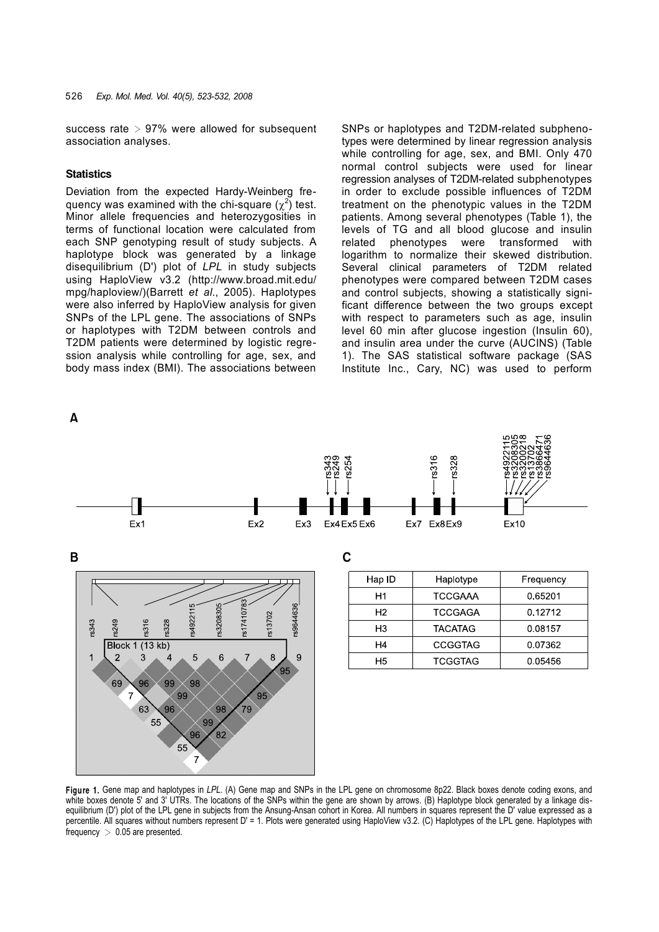success rate  $> 97\%$  were allowed for subsequent association analyses.

#### **Statistics**

Deviation from the expected Hardy-Weinberg frequency was examined with the chi-square  $(\chi^2)$  test. Minor allele frequencies and heterozygosities in terms of functional location were calculated from each SNP genotyping result of study subjects. A haplotype block was generated by a linkage disequilibrium (D') plot of *LPL* in study subjects using HaploView v3.2 (http://www.broad.mit.edu/ mpg/haploview/)(Barrett *et al*., 2005). Haplotypes were also inferred by HaploView analysis for given SNPs of the LPL gene. The associations of SNPs or haplotypes with T2DM between controls and T2DM patients were determined by logistic regression analysis while controlling for age, sex, and body mass index (BMI). The associations between

SNPs or haplotypes and T2DM-related subphenotypes were determined by linear regression analysis while controlling for age, sex, and BMI. Only 470 normal control subjects were used for linear regression analyses of T2DM-related subphenotypes in order to exclude possible influences of T2DM treatment on the phenotypic values in the T2DM patients. Among several phenotypes (Table 1), the levels of TG and all blood glucose and insulin related phenotypes were transformed with logarithm to normalize their skewed distribution. Several clinical parameters of T2DM related phenotypes were compared between T2DM cases and control subjects, showing a statistically significant difference between the two groups except with respect to parameters such as age, insulin level 60 min after glucose ingestion (Insulin 60), and insulin area under the curve (AUCINS) (Table 1). The SAS statistical software package (SAS Institute Inc., Cary, NC) was used to perform



**Figure 1.** Gene map and haplotypes in *LPL*. (A) Gene map and SNPs in the LPL gene on chromosome 8p22. Black boxes denote coding exons, and white boxes denote 5' and 3' UTRs. The locations of the SNPs within the gene are shown by arrows. (B) Haplotype block generated by a linkage disequilibrium (D') plot of the LPL gene in subjects from the Ansung-Ansan cohort in Korea. All numbers in squares represent the D' value expressed as a percentile. All squares without numbers represent D' = 1. Plots were generated using HaploView v3.2. (C) Haplotypes of the LPL gene. Haplotypes with frequency  $> 0.05$  are presented.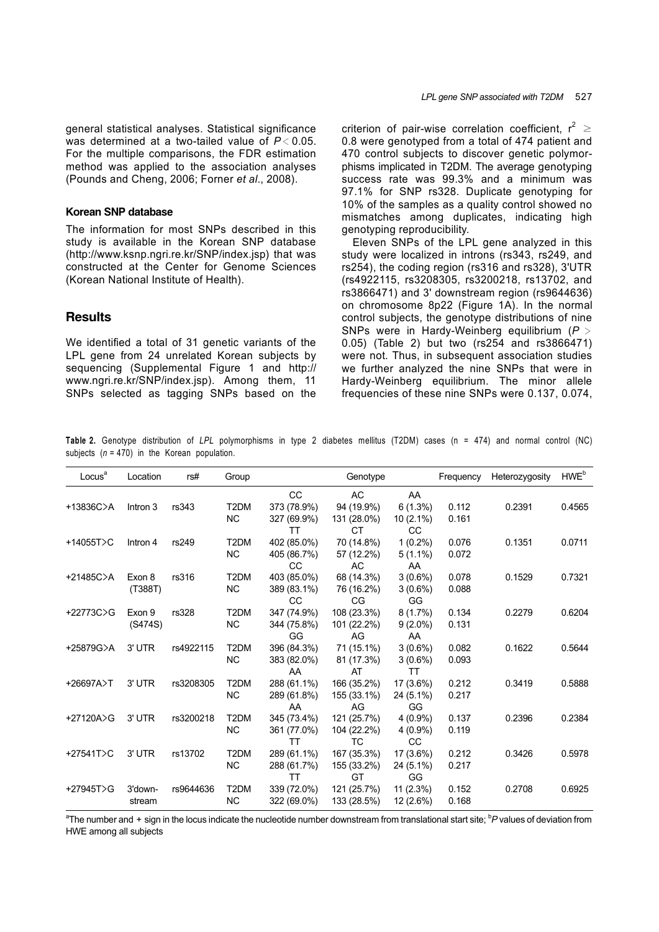## **Korean SNP database**

The information for most SNPs described in this study is available in the Korean SNP database (http://www.ksnp.ngri.re.kr/SNP/index.jsp) that was constructed at the Center for Genome Sciences (Korean National Institute of Health).

## **Results**

We identified a total of 31 genetic variants of the LPL gene from 24 unrelated Korean subjects by sequencing (Supplemental Figure 1 and http:// www.ngri.re.kr/SNP/index.jsp). Among them, 11 SNPs selected as tagging SNPs based on the

criterion of pair-wise correlation coefficient,  $r^2 \ge$ 0.8 were genotyped from a total of 474 patient and 470 control subjects to discover genetic polymorphisms implicated in T2DM. The average genotyping success rate was 99.3% and a minimum was 97.1% for SNP rs328. Duplicate genotyping for 10% of the samples as a quality control showed no mismatches among duplicates, indicating high genotyping reproducibility.

Eleven SNPs of the LPL gene analyzed in this study were localized in introns (rs343, rs249, and rs254), the coding region (rs316 and rs328), 3'UTR (rs4922115, rs3208305, rs3200218, rs13702, and rs3866471) and 3' downstream region (rs9644636) on chromosome 8p22 (Figure 1A). In the normal control subjects, the genotype distributions of nine SNPs were in Hardy-Weinberg equilibrium (*P* > 0.05) (Table 2) but two (rs254 and rs3866471) were not. Thus, in subsequent association studies we further analyzed the nine SNPs that were in Hardy-Weinberg equilibrium. The minor allele frequencies of these nine SNPs were 0.137, 0.074,

**Table 2.** Genotype distribution of *LPL* polymorphisms in type 2 diabetes mellitus (T2DM) cases (n = 474) and normal control (NC) subjects  $(n = 470)$  in the Korean population.

| Locus <sup>a</sup> | Location | rs#       | Group             |             | Genotype    |             | Frequency | Heterozygosity | HWE <sup>b</sup> |
|--------------------|----------|-----------|-------------------|-------------|-------------|-------------|-----------|----------------|------------------|
|                    |          |           |                   | <b>CC</b>   | <b>AC</b>   | AA          |           |                |                  |
| $+13836C$ >A       | Intron 3 | rs343     | T <sub>2</sub> DM | 373 (78.9%) | 94 (19.9%)  | 6(1.3%)     | 0.112     | 0.2391         | 0.4565           |
|                    |          |           | <b>NC</b>         | 327 (69.9%) | 131 (28.0%) | 10 (2.1%)   | 0.161     |                |                  |
|                    |          |           |                   | TT          | <b>CT</b>   | CC          |           |                |                  |
| $+14055T$ >C       | Intron 4 | rs249     | T <sub>2</sub> DM | 402 (85.0%) | 70 (14.8%)  | $1(0.2\%)$  | 0.076     | 0.1351         | 0.0711           |
|                    |          |           | <b>NC</b>         | 405 (86.7%) | 57 (12.2%)  | $5(1.1\%)$  | 0.072     |                |                  |
|                    |          |           |                   | <b>CC</b>   | AC          | AA          |           |                |                  |
| $+21485C$ $>$ A    | Exon 8   | rs316     | T <sub>2</sub> DM | 403 (85.0%) | 68 (14.3%)  | $3(0.6\%)$  | 0.078     | 0.1529         | 0.7321           |
|                    | (T388T)  |           | <b>NC</b>         | 389 (83.1%) | 76 (16.2%)  | $3(0.6\%)$  | 0.088     |                |                  |
|                    |          |           |                   | CC          | CG          | GG          |           |                |                  |
| $+22773C$ C        | Exon 9   | rs328     | T <sub>2</sub> DM | 347 (74.9%) | 108 (23.3%) | 8(1.7%)     | 0.134     | 0.2279         | 0.6204           |
|                    | (S474S)  |           | <b>NC</b>         | 344 (75.8%) | 101 (22.2%) | $9(2.0\%)$  | 0.131     |                |                  |
|                    |          |           |                   | GG          | AG          | AA          |           |                |                  |
| +25879G>A          | 3' UTR   | rs4922115 | T <sub>2</sub> DM | 396 (84.3%) | 71 (15.1%)  | $3(0.6\%)$  | 0.082     | 0.1622         | 0.5644           |
|                    |          |           | <b>NC</b>         | 383 (82.0%) | 81 (17.3%)  | $3(0.6\%)$  | 0.093     |                |                  |
|                    |          |           |                   | AA          | AT          | <b>TT</b>   |           |                |                  |
| +26697A>T          | 3' UTR   | rs3208305 | T <sub>2</sub> DM | 288 (61.1%) | 166 (35.2%) | 17 (3.6%)   | 0.212     | 0.3419         | 0.5888           |
|                    |          |           | <b>NC</b>         | 289 (61.8%) | 155 (33.1%) | 24 (5.1%)   | 0.217     |                |                  |
|                    |          |           |                   | AA          | AG          | GG          |           |                |                  |
| $+27120A$          | 3' UTR   | rs3200218 | T <sub>2</sub> DM | 345 (73.4%) | 121 (25.7%) | $4(0.9\%)$  | 0.137     | 0.2396         | 0.2384           |
|                    |          |           | <b>NC</b>         | 361 (77.0%) | 104 (22.2%) | $4(0.9\%)$  | 0.119     |                |                  |
|                    |          |           |                   | TT          | <b>TC</b>   | CC          |           |                |                  |
| $+27541T$          | 3' UTR   | rs13702   | T <sub>2</sub> DM | 289 (61.1%) | 167 (35.3%) | 17 (3.6%)   | 0.212     | 0.3426         | 0.5978           |
|                    |          |           | <b>NC</b>         | 288 (61.7%) | 155 (33.2%) | 24 (5.1%)   | 0.217     |                |                  |
|                    |          |           |                   | ТT          | GT          | GG          |           |                |                  |
| $+27945T$          | 3'down-  | rs9644636 | T <sub>2</sub> DM | 339 (72.0%) | 121 (25.7%) | 11(2.3%)    | 0.152     | 0.2708         | 0.6925           |
|                    | stream   |           | <b>NC</b>         | 322 (69.0%) | 133 (28.5%) | $12(2.6\%)$ | 0.168     |                |                  |

<sup>a</sup>The number and + sign in the locus indicate the nucleotide number downstream from translational start site; <sup>b</sup>P values of deviation from HWE among all subjects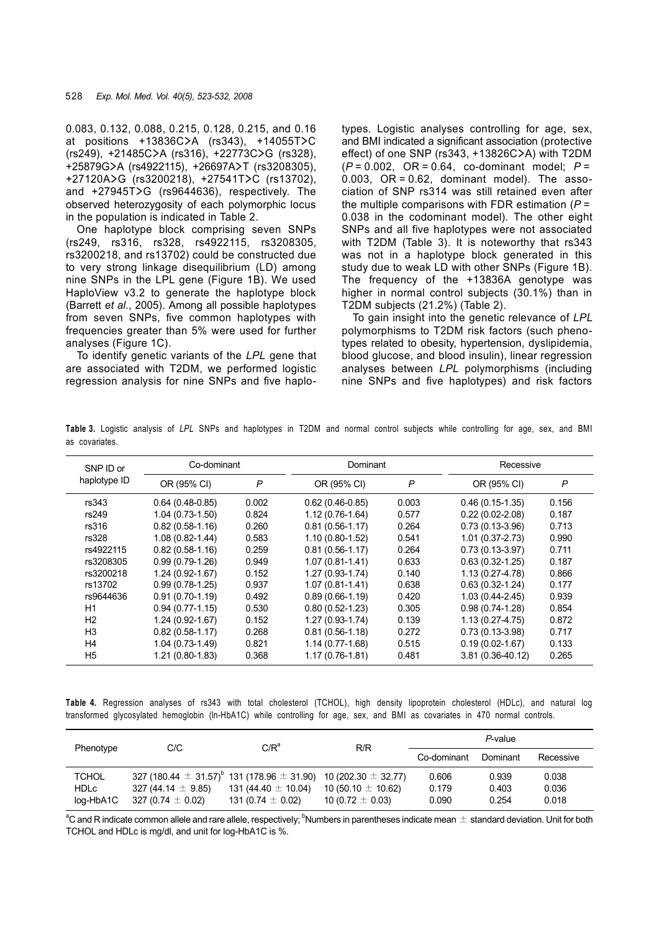0.083, 0.132, 0.088, 0.215, 0.128, 0.215, and 0.16 at positions +13836C**>**A (rs343), +14055T**>**C (rs249), +21485C**>**A (rs316), +22773C**>**G (rs328), +25879G**>**A (rs4922115), +26697A**>**T (rs3208305), +27120A**>**G (rs3200218), +27541T**>**C (rs13702), and +27945T**>**G (rs9644636), respectively. The observed heterozygosity of each polymorphic locus in the population is indicated in Table 2.

One haplotype block comprising seven SNPs (rs249, rs316, rs328, rs4922115, rs3208305, rs3200218, and rs13702) could be constructed due to very strong linkage disequilibrium (LD) among nine SNPs in the LPL gene (Figure 1B). We used HaploView v3.2 to generate the haplotype block (Barrett *et al*., 2005). Among all possible haplotypes from seven SNPs, five common haplotypes with frequencies greater than 5% were used for further analyses (Figure 1C).

To identify genetic variants of the *LPL* gene that are associated with T2DM, we performed logistic regression analysis for nine SNPs and five haplotypes. Logistic analyses controlling for age, sex, and BMI indicated a significant association (protective effect) of one SNP (rs343, +13826C**>**A) with T2DM (*P* = 0.002, OR = 0.64, co-dominant model; *P* =  $0.003$ , OR = 0.62, dominant model). The association of SNP rs314 was still retained even after the multiple comparisons with FDR estimation (*P* = 0.038 in the codominant model). The other eight SNPs and all five haplotypes were not associated with T2DM (Table 3). It is noteworthy that rs343 was not in a haplotype block generated in this study due to weak LD with other SNPs (Figure 1B). The frequency of the +13836A genotype was higher in normal control subjects (30.1%) than in T2DM subjects (21.2%) (Table 2).

To gain insight into the genetic relevance of *LPL*  polymorphisms to T2DM risk factors (such phenotypes related to obesity, hypertension, dyslipidemia, blood glucose, and blood insulin), linear regression analyses between *LPL* polymorphisms (including nine SNPs and five haplotypes) and risk factors

**Table 3.** Logistic analysis of *LPL* SNPs and haplotypes in T2DM and normal control subjects while controlling for age, sex, and BMI as covariates.

| SNP ID or<br>haplotype ID | Co-dominant         |              | Dominant            |       | Recessive           |                |
|---------------------------|---------------------|--------------|---------------------|-------|---------------------|----------------|
|                           | OR (95% CI)         | $\mathsf{P}$ | OR (95% CI)         | P     | OR (95% CI)         | $\overline{P}$ |
| rs343                     | $0.64(0.48-0.85)$   | 0.002        | $0.62(0.46-0.85)$   | 0.003 | $0.46(0.15-1.35)$   | 0.156          |
| rs249                     | $1.04(0.73-1.50)$   | 0.824        | $1.12(0.76-1.64)$   | 0.577 | $0.22(0.02 - 2.08)$ | 0.187          |
| rs316                     | $0.82(0.58-1.16)$   | 0.260        | $0.81(0.56 - 1.17)$ | 0.264 | $0.73(0.13-3.96)$   | 0.713          |
| rs328                     | $1.08(0.82 - 1.44)$ | 0.583        | $1.10(0.80-1.52)$   | 0.541 | $1.01(0.37 - 2.73)$ | 0.990          |
| rs4922115                 | $0.82(0.58-1.16)$   | 0.259        | $0.81(0.56 - 1.17)$ | 0.264 | $0.73(0.13-3.97)$   | 0.711          |
| rs3208305                 | $0.99(0.79-1.26)$   | 0.949        | $1.07(0.81 - 1.41)$ | 0.633 | $0.63(0.32 - 1.25)$ | 0.187          |
| rs3200218                 | $1.24(0.92 - 1.67)$ | 0.152        | $1.27(0.93 - 1.74)$ | 0.140 | 1.13 (0.27-4.78)    | 0.866          |
| rs13702                   | $0.99(0.78-1.25)$   | 0.937        | $1.07(0.81 - 1.41)$ | 0.638 | $0.63(0.32 - 1.24)$ | 0.177          |
| rs9644636                 | $0.91(0.70-1.19)$   | 0.492        | $0.89(0.66 - 1.19)$ | 0.420 | 1.03 (0.44-2.45)    | 0.939          |
| H1                        | $0.94(0.77-1.15)$   | 0.530        | $0.80(0.52 - 1.23)$ | 0.305 | $0.98(0.74-1.28)$   | 0.854          |
| H <sub>2</sub>            | $1.24(0.92 - 1.67)$ | 0.152        | $1.27(0.93 - 1.74)$ | 0.139 | $1.13(0.27 - 4.75)$ | 0.872          |
| H3                        | $0.82(0.58-1.17)$   | 0.268        | $0.81(0.56-1.18)$   | 0.272 | $0.73(0.13-3.98)$   | 0.717          |
| H4                        | $1.04(0.73-1.49)$   | 0.821        | $1.14(0.77-1.68)$   | 0.515 | $0.19(0.02 - 1.67)$ | 0.133          |
| H <sub>5</sub>            | 1.21 (0.80-1.83)    | 0.368        | $1.17(0.76-1.81)$   | 0.481 | 3.81 (0.36-40.12)   | 0.265          |

**Table 4.** Regression analyses of rs343 with total cholesterol (TCHOL), high density lipoprotein cholesterol (HDLc), and natural log transformed glycosylated hemoglobin (ln-HbA1C) while controlling for age, sex, and BMI as covariates in 470 normal controls.

| Phenotype    | C/C                                                                                    | $C/R^a$                 | R/R                    | $P$ -value  |          |           |
|--------------|----------------------------------------------------------------------------------------|-------------------------|------------------------|-------------|----------|-----------|
|              |                                                                                        |                         |                        | Co-dominant | Dominant | Recessive |
| <b>TCHOL</b> | 327 (180.44 $\pm$ 31.57) <sup>b</sup> 131 (178.96 $\pm$ 31.90) 10 (202.30 $\pm$ 32.77) |                         |                        | 0.606       | 0.939    | 0.038     |
| <b>HDLc</b>  | 327 (44.14 $\pm$ 9.85)                                                                 | 131 (44.40 $\pm$ 10.04) | 10 (50.10 $\pm$ 10.62) | 0.179       | 0.403    | 0.036     |
| log-HbA1C    | 327 (0.74 $\pm$ 0.02)                                                                  | 131 (0.74 $\pm$ 0.02)   | 10 (0.72 $\pm$ 0.03)   | 0.090       | 0.254    | 0.018     |

 $^a$ C and R indicate common allele and rare allele, respectively;  $^b$ Numbers in parentheses indicate mean  $\pm$  standard deviation. Unit for both TCHOL and HDLc is mg/dl, and unit for log-HbA1C is %.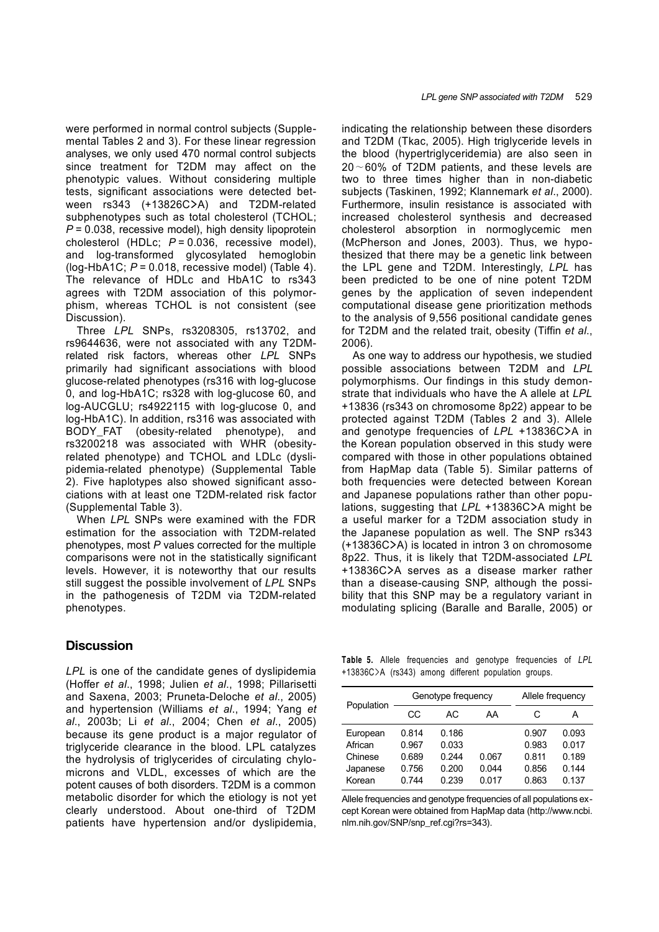were performed in normal control subjects (Supplemental Tables 2 and 3). For these linear regression analyses, we only used 470 normal control subjects since treatment for T2DM may affect on the phenotypic values. Without considering multiple tests, significant associations were detected between rs343 (+13826C**>**A) and T2DM-related subphenotypes such as total cholesterol (TCHOL; *P* = 0.038, recessive model), high density lipoprotein cholesterol (HDLc; *P* = 0.036, recessive model), and log-transformed glycosylated hemoglobin (log-HbA1C; *P* = 0.018, recessive model) (Table 4). The relevance of HDLc and HbA1C to rs343 agrees with T2DM association of this polymorphism, whereas TCHOL is not consistent (see Discussion).

Three *LPL* SNPs, rs3208305, rs13702, and rs9644636, were not associated with any T2DMrelated risk factors, whereas other *LPL* SNPs primarily had significant associations with blood glucose-related phenotypes (rs316 with log-glucose 0, and log-HbA1C; rs328 with log-glucose 60, and log-AUCGLU; rs4922115 with log-glucose 0, and log-HbA1C). In addition, rs316 was associated with BODY\_FAT (obesity-related phenotype), and rs3200218 was associated with WHR (obesityrelated phenotype) and TCHOL and LDLc (dyslipidemia-related phenotype) (Supplemental Table 2). Five haplotypes also showed significant associations with at least one T2DM-related risk factor (Supplemental Table 3).

When *LPL* SNPs were examined with the FDR estimation for the association with T2DM-related phenotypes, most *P* values corrected for the multiple comparisons were not in the statistically significant levels. However, it is noteworthy that our results still suggest the possible involvement of *LPL* SNPs in the pathogenesis of T2DM via T2DM-related phenotypes.

## **Discussion**

*LPL* is one of the candidate genes of dyslipidemia (Hoffer *et al*., 1998; Julien *et al*., 1998; Pillarisetti and Saxena, 2003; Pruneta-Deloche *et al*., 2005) and hypertension (Williams *et al*., 1994; Yang *et al*., 2003b; Li *et al*., 2004; Chen *et al*., 2005) because its gene product is a major regulator of triglyceride clearance in the blood. LPL catalyzes the hydrolysis of triglycerides of circulating chylomicrons and VLDL, excesses of which are the potent causes of both disorders. T2DM is a common metabolic disorder for which the etiology is not yet clearly understood. About one-third of T2DM patients have hypertension and/or dyslipidemia,

indicating the relationship between these disorders and T2DM (Tkac, 2005). High triglyceride levels in the blood (hypertriglyceridemia) are also seen in 20∼60% of T2DM patients, and these levels are two to three times higher than in non-diabetic subjects (Taskinen, 1992; Klannemark *et al*., 2000). Furthermore, insulin resistance is associated with increased cholesterol synthesis and decreased cholesterol absorption in normoglycemic men (McPherson and Jones, 2003). Thus, we hypothesized that there may be a genetic link between the LPL gene and T2DM. Interestingly, *LPL* has been predicted to be one of nine potent T2DM genes by the application of seven independent computational disease gene prioritization methods to the analysis of 9,556 positional candidate genes for T2DM and the related trait, obesity (Tiffin *et al*., 2006).

As one way to address our hypothesis, we studied possible associations between T2DM and *LPL*  polymorphisms. Our findings in this study demonstrate that individuals who have the A allele at *LPL* +13836 (rs343 on chromosome 8p22) appear to be protected against T2DM (Tables 2 and 3). Allele and genotype frequencies of *LPL* +13836C**>**A in the Korean population observed in this study were compared with those in other populations obtained from HapMap data (Table 5). Similar patterns of both frequencies were detected between Korean and Japanese populations rather than other populations, suggesting that *LPL* +13836C**>**A might be a useful marker for a T2DM association study in the Japanese population as well. The SNP rs343 (+13836C**>**A) is located in intron 3 on chromosome 8p22. Thus, it is likely that T2DM-associated *LPL*  +13836C**>**A serves as a disease marker rather than a disease-causing SNP, although the possibility that this SNP may be a regulatory variant in modulating splicing (Baralle and Baralle, 2005) or

**Table 5.** Allele frequencies and genotype frequencies of *LPL* +13836C>A (rs343) among different population groups.

|            | Genotype frequency | Allele frequency |       |       |       |
|------------|--------------------|------------------|-------|-------|-------|
| Population | CС                 | AC.              | AA    | С     | А     |
| European   | 0.814              | 0.186            |       | 0.907 | 0.093 |
| African    | 0.967              | 0.033            |       | 0.983 | 0.017 |
| Chinese    | 0.689              | 0.244            | 0.067 | 0.811 | 0.189 |
| Japanese   | 0.756              | 0.200            | 0.044 | 0.856 | 0.144 |
| Korean     | 0.744              | 0.239            | 0.017 | 0.863 | 0.137 |

Allele frequencies and genotype frequencies of all populations except Korean were obtained from HapMap data (http://www.ncbi. nlm.nih.gov/SNP/snp\_ref.cgi?rs=343).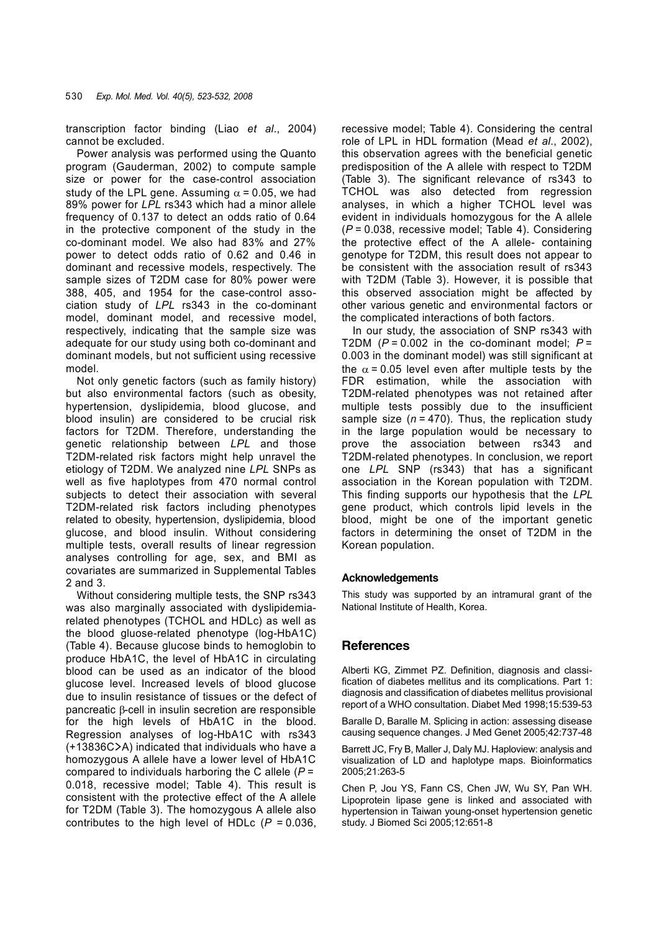transcription factor binding (Liao *et al*., 2004) cannot be excluded.

Power analysis was performed using the Quanto program (Gauderman, 2002) to compute sample size or power for the case-control association study of the LPL gene. Assuming  $\alpha$  = 0.05, we had 89% power for *LPL* rs343 which had a minor allele frequency of 0.137 to detect an odds ratio of 0.64 in the protective component of the study in the co-dominant model. We also had 83% and 27% power to detect odds ratio of 0.62 and 0.46 in dominant and recessive models, respectively. The sample sizes of T2DM case for 80% power were 388, 405, and 1954 for the case-control association study of *LPL* rs343 in the co-dominant model, dominant model, and recessive model, respectively, indicating that the sample size was adequate for our study using both co-dominant and dominant models, but not sufficient using recessive model.

Not only genetic factors (such as family history) but also environmental factors (such as obesity, hypertension, dyslipidemia, blood glucose, and blood insulin) are considered to be crucial risk factors for T2DM. Therefore, understanding the genetic relationship between *LPL* and those T2DM-related risk factors might help unravel the etiology of T2DM. We analyzed nine *LPL* SNPs as well as five haplotypes from 470 normal control subjects to detect their association with several T2DM-related risk factors including phenotypes related to obesity, hypertension, dyslipidemia, blood glucose, and blood insulin. Without considering multiple tests, overall results of linear regression analyses controlling for age, sex, and BMI as covariates are summarized in Supplemental Tables 2 and 3.

Without considering multiple tests, the SNP rs343 was also marginally associated with dyslipidemiarelated phenotypes (TCHOL and HDLc) as well as the blood gluose-related phenotype (log-HbA1C) (Table 4). Because glucose binds to hemoglobin to produce HbA1C, the level of HbA1C in circulating blood can be used as an indicator of the blood glucose level. Increased levels of blood glucose due to insulin resistance of tissues or the defect of pancreatic β-cell in insulin secretion are responsible for the high levels of HbA1C in the blood. Regression analyses of log-HbA1C with rs343 (+13836C**>**A) indicated that individuals who have a homozygous A allele have a lower level of HbA1C compared to individuals harboring the C allele (*P* = 0.018, recessive model; Table 4). This result is consistent with the protective effect of the A allele for T2DM (Table 3). The homozygous A allele also contributes to the high level of HDLc (*P* = 0.036, recessive model; Table 4). Considering the central role of LPL in HDL formation (Mead *et al*., 2002), this observation agrees with the beneficial genetic predisposition of the A allele with respect to T2DM (Table 3). The significant relevance of rs343 to TCHOL was also detected from regression analyses, in which a higher TCHOL level was evident in individuals homozygous for the A allele (*P* = 0.038, recessive model; Table 4). Considering the protective effect of the A allele- containing genotype for T2DM, this result does not appear to be consistent with the association result of rs343 with T2DM (Table 3). However, it is possible that this observed association might be affected by other various genetic and environmental factors or the complicated interactions of both factors.

In our study, the association of SNP rs343 with T2DM  $(P = 0.002$  in the co-dominant model;  $P =$ 0.003 in the dominant model) was still significant at the  $\alpha$  = 0.05 level even after multiple tests by the FDR estimation, while the association with T2DM-related phenotypes was not retained after multiple tests possibly due to the insufficient sample size  $(n = 470)$ . Thus, the replication study in the large population would be necessary to prove the association between rs343 and T2DM-related phenotypes. In conclusion, we report one *LPL* SNP (rs343) that has a significant association in the Korean population with T2DM. This finding supports our hypothesis that the *LPL*  gene product, which controls lipid levels in the blood, might be one of the important genetic factors in determining the onset of T2DM in the Korean population.

#### **Acknowledgements**

This study was supported by an intramural grant of the National Institute of Health, Korea.

## **References**

Alberti KG, Zimmet PZ. Definition, diagnosis and classification of diabetes mellitus and its complications. Part 1: diagnosis and classification of diabetes mellitus provisional report of a WHO consultation. Diabet Med 1998;15:539-53

Baralle D, Baralle M. Splicing in action: assessing disease causing sequence changes. J Med Genet 2005;42:737-48

Barrett JC, Fry B, Maller J, Daly MJ. Haploview: analysis and visualization of LD and haplotype maps. Bioinformatics 2005;21:263-5

Chen P, Jou YS, Fann CS, Chen JW, Wu SY, Pan WH. Lipoprotein lipase gene is linked and associated with hypertension in Taiwan young-onset hypertension genetic study. J Biomed Sci 2005;12:651-8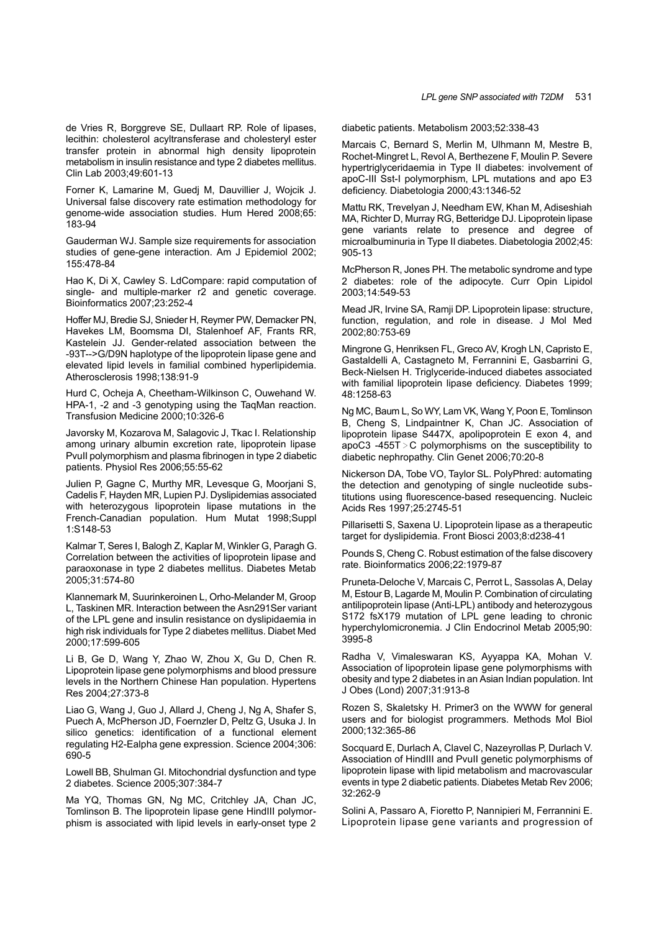de Vries R, Borggreve SE, Dullaart RP. Role of lipases, lecithin: cholesterol acyltransferase and cholesteryl ester transfer protein in abnormal high density lipoprotein metabolism in insulin resistance and type 2 diabetes mellitus. Clin Lab 2003;49:601-13

Forner K, Lamarine M, Guedj M, Dauvillier J, Wojcik J. Universal false discovery rate estimation methodology for genome-wide association studies. Hum Hered 2008;65: 183-94

Gauderman WJ. Sample size requirements for association studies of gene-gene interaction. Am J Epidemiol 2002; 155:478-84

Hao K, Di X, Cawley S. LdCompare: rapid computation of single- and multiple-marker r2 and genetic coverage. Bioinformatics 2007;23:252-4

Hoffer MJ, Bredie SJ, Snieder H, Reymer PW, Demacker PN, Havekes LM, Boomsma DI, Stalenhoef AF, Frants RR, Kastelein JJ. Gender-related association between the -93T-->G/D9N haplotype of the lipoprotein lipase gene and elevated lipid levels in familial combined hyperlipidemia. Atherosclerosis 1998;138:91-9

Hurd C, Ocheja A, Cheetham-Wilkinson C, Ouwehand W. HPA-1, -2 and -3 genotyping using the TaqMan reaction. Transfusion Medicine 2000;10:326-6

Javorsky M, Kozarova M, Salagovic J, Tkac I. Relationship among urinary albumin excretion rate, lipoprotein lipase PvuII polymorphism and plasma fibrinogen in type 2 diabetic patients. Physiol Res 2006;55:55-62

Julien P, Gagne C, Murthy MR, Levesque G, Moorjani S, Cadelis F, Hayden MR, Lupien PJ. Dyslipidemias associated with heterozygous lipoprotein lipase mutations in the French-Canadian population. Hum Mutat 1998;Suppl 1:S148-53

Kalmar T, Seres I, Balogh Z, Kaplar M, Winkler G, Paragh G. Correlation between the activities of lipoprotein lipase and paraoxonase in type 2 diabetes mellitus. Diabetes Metab 2005;31:574-80

Klannemark M, Suurinkeroinen L, Orho-Melander M, Groop L, Taskinen MR. Interaction between the Asn291Ser variant of the LPL gene and insulin resistance on dyslipidaemia in high risk individuals for Type 2 diabetes mellitus. Diabet Med 2000;17:599-605

Li B, Ge D, Wang Y, Zhao W, Zhou X, Gu D, Chen R. Lipoprotein lipase gene polymorphisms and blood pressure levels in the Northern Chinese Han population. Hypertens Res 2004;27:373-8

Liao G, Wang J, Guo J, Allard J, Cheng J, Ng A, Shafer S, Puech A, McPherson JD, Foernzler D, Peltz G, Usuka J. In silico genetics: identification of a functional element regulating H2-Ealpha gene expression. Science 2004;306: 690-5

Lowell BB, Shulman GI. Mitochondrial dysfunction and type 2 diabetes. Science 2005;307:384-7

Ma YQ, Thomas GN, Ng MC, Critchley JA, Chan JC, Tomlinson B. The lipoprotein lipase gene HindIII polymorphism is associated with lipid levels in early-onset type 2 diabetic patients. Metabolism 2003;52:338-43

Marcais C, Bernard S, Merlin M, Ulhmann M, Mestre B, Rochet-Mingret L, Revol A, Berthezene F, Moulin P. Severe hypertriglyceridaemia in Type II diabetes: involvement of apoC-III Sst-I polymorphism, LPL mutations and apo E3 deficiency. Diabetologia 2000;43:1346-52

Mattu RK, Trevelyan J, Needham EW, Khan M, Adiseshiah MA, Richter D, Murray RG, Betteridge DJ. Lipoprotein lipase gene variants relate to presence and degree of microalbuminuria in Type II diabetes. Diabetologia 2002;45: 905-13

McPherson R, Jones PH. The metabolic syndrome and type 2 diabetes: role of the adipocyte. Curr Opin Lipidol 2003;14:549-53

Mead JR, Irvine SA, Ramji DP. Lipoprotein lipase: structure, function, regulation, and role in disease. J Mol Med 2002;80:753-69

Mingrone G, Henriksen FL, Greco AV, Krogh LN, Capristo E, Gastaldelli A, Castagneto M, Ferrannini E, Gasbarrini G, Beck-Nielsen H. Triglyceride-induced diabetes associated with familial lipoprotein lipase deficiency. Diabetes 1999; 48:1258-63

Ng MC, Baum L, So WY, Lam VK, Wang Y, Poon E, Tomlinson B, Cheng S, Lindpaintner K, Chan JC. Association of lipoprotein lipase S447X, apolipoprotein E exon 4, and apoC3 -455T>C polymorphisms on the susceptibility to diabetic nephropathy. Clin Genet 2006;70:20-8

Nickerson DA, Tobe VO, Taylor SL. PolyPhred: automating the detection and genotyping of single nucleotide substitutions using fluorescence-based resequencing. Nucleic Acids Res 1997;25:2745-51

Pillarisetti S, Saxena U. Lipoprotein lipase as a therapeutic target for dyslipidemia. Front Biosci 2003;8:d238-41

Pounds S, Cheng C. Robust estimation of the false discovery rate. Bioinformatics 2006;22:1979-87

Pruneta-Deloche V, Marcais C, Perrot L, Sassolas A, Delay M, Estour B, Lagarde M, Moulin P. Combination of circulating antilipoprotein lipase (Anti-LPL) antibody and heterozygous S172 fsX179 mutation of LPL gene leading to chronic hyperchylomicronemia. J Clin Endocrinol Metab 2005;90: 3995-8

Radha V, Vimaleswaran KS, Ayyappa KA, Mohan V. Association of lipoprotein lipase gene polymorphisms with obesity and type 2 diabetes in an Asian Indian population. Int J Obes (Lond) 2007;31:913-8

Rozen S, Skaletsky H. Primer3 on the WWW for general users and for biologist programmers. Methods Mol Biol 2000;132:365-86

Socquard E, Durlach A, Clavel C, Nazeyrollas P, Durlach V. Association of HindIII and PvuII genetic polymorphisms of lipoprotein lipase with lipid metabolism and macrovascular events in type 2 diabetic patients. Diabetes Metab Rev 2006; 32:262-9

Solini A, Passaro A, Fioretto P, Nannipieri M, Ferrannini E. Lipoprotein lipase gene variants and progression of